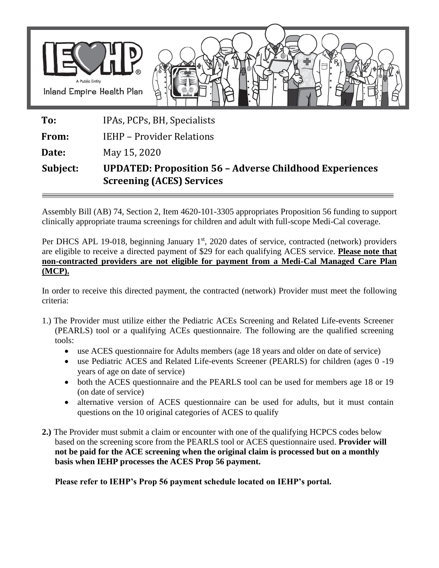

## **Subject: UPDATED: Proposition 56 – Adverse Childhood Experiences Screening (ACES) Services**

Assembly Bill (AB) 74, Section 2, Item 4620-101-3305 appropriates Proposition 56 funding to support clinically appropriate trauma screenings for children and adult with full-scope Medi-Cal coverage.

Per DHCS APL 19-018, beginning January 1<sup>st</sup>, 2020 dates of service, contracted (network) providers are eligible to receive a directed payment of \$29 for each qualifying ACES service. **Please note that non-contracted providers are not eligible for payment from a Medi-Cal Managed Care Plan (MCP).**

In order to receive this directed payment, the contracted (network) Provider must meet the following criteria:

- 1.) The Provider must utilize either the Pediatric ACEs Screening and Related Life-events Screener (PEARLS) tool or a qualifying ACEs questionnaire. The following are the qualified screening tools:
	- use ACES questionnaire for Adults members (age 18 years and older on date of service)
	- use Pediatric ACES and Related Life-events Screener (PEARLS) for children (ages 0 -19 years of age on date of service)
	- both the ACES questionnaire and the PEARLS tool can be used for members age 18 or 19 (on date of service)
	- alternative version of ACES questionnaire can be used for adults, but it must contain questions on the 10 original categories of ACES to qualify
- **2.)** The Provider must submit a claim or encounter with one of the qualifying HCPCS codes below based on the screening score from the PEARLS tool or ACES questionnaire used. **Provider will not be paid for the ACE screening when the original claim is processed but on a monthly basis when IEHP processes the ACES Prop 56 payment.**

**Please refer to IEHP's Prop 56 payment schedule located on IEHP's portal.**